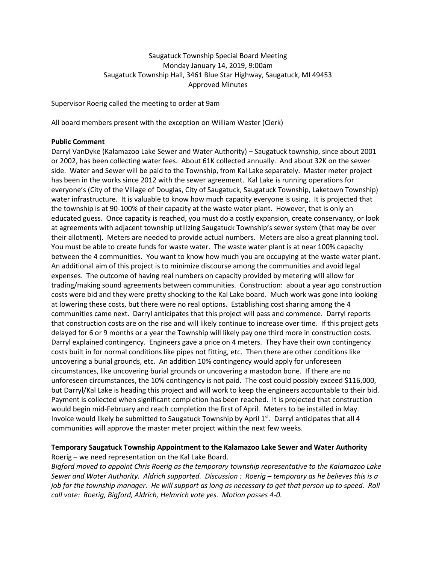## Saugatuck Township Special Board Meeting Monday January 14, 2019, 9:00am Saugatuck Township Hall, 3461 Blue Star Highway, Saugatuck, MI 49453 Approved Minutes

Supervisor Roerig called the meeting to order at 9am

All board members present with the exception on William Wester (Clerk)

## **Public Comment**

Darryl VanDyke (Kalamazoo Lake Sewer and Water Authority) – Saugatuck township, since about 2001 or 2002, has been collecting water fees. About 61K collected annually. And about 32K on the sewer side. Water and Sewer will be paid to the Township, from Kal Lake separately. Master meter project has been in the works since 2012 with the sewer agreement. Kal Lake is running operations for everyone's (City of the Village of Douglas, City of Saugatuck, Saugatuck Township, Laketown Township) water infrastructure. It is valuable to know how much capacity everyone is using. It is projected that the township is at 90-100% of their capacity at the waste water plant. However, that is only an educated guess. Once capacity is reached, you must do a costly expansion, create conservancy, or look at agreements with adjacent township utilizing Saugatuck Township's sewer system (that may be over their allotment). Meters are needed to provide actual numbers. Meters are also a great planning tool. You must be able to create funds for waste water. The waste water plant is at near 100% capacity between the 4 communities. You want to know how much you are occupying at the waste water plant. An additional aim of this project is to minimize discourse among the communities and avoid legal expenses. The outcome of having real numbers on capacity provided by metering will allow for trading/making sound agreements between communities. Construction: about a year ago construction costs were bid and they were pretty shocking to the Kal Lake board. Much work was gone into looking at lowering these costs, but there were no real options. Establishing cost sharing among the 4 communities came next. Darryl anticipates that this project will pass and commence. Darryl reports that construction costs are on the rise and will likely continue to increase over time. If this project gets delayed for 6 or 9 months or a year the Township will likely pay one third more in construction costs. Darryl explained contingency. Engineers gave a price on 4 meters. They have their own contingency costs built in for normal conditions like pipes not fitting, etc. Then there are other conditions like uncovering a burial grounds, etc. An addition 10% contingency would apply for unforeseen circumstances, like uncovering burial grounds or uncovering a mastodon bone. If there are no unforeseen circumstances, the 10% contingency is not paid. The cost could possibly exceed \$116,000, but Darryl/Kal Lake is heading this project and will work to keep the engineers accountable to their bid. Payment is collected when significant completion has been reached. It is projected that construction would begin mid-February and reach completion the first of April. Meters to be installed in May. Invoice would likely be submitted to Saugatuck Township by April 1st. Darryl anticipates that all 4 communities will approve the master meter project within the next few weeks.

## **Temporary Saugatuck Township Appointment to the Kalamazoo Lake Sewer and Water Authority**

Roerig – we need representation on the Kal Lake Board.

*Bigford moved to appoint Chris Roerig as the temporary township representative to the Kalamazoo Lake Sewer and Water Authority. Aldrich supported. Discussion : Roerig – temporary as he believes this is a job for the township manager. He will support as long as necessary to get that person up to speed. Roll call vote: Roerig, Bigford, Aldrich, Helmrich vote yes. Motion passes 4-0.*